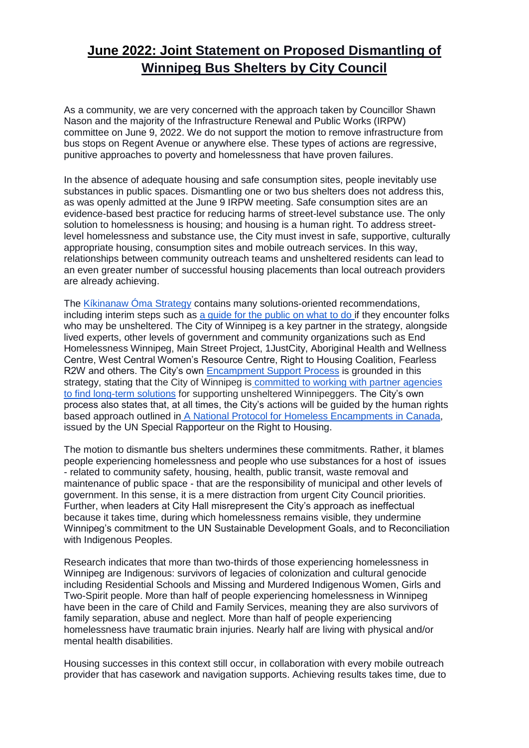## **June 2022: Joint Statement on Proposed Dismantling of Winnipeg Bus Shelters by City Council**

As a community, we are very concerned with the approach taken by Councillor Shawn Nason and the majority of the Infrastructure Renewal and Public Works (IRPW) committee on June 9, 2022. We do not support the motion to remove infrastructure from bus stops on Regent Avenue or anywhere else. These types of actions are regressive, punitive approaches to poverty and homelessness that have proven failures.

In the absence of adequate housing and safe consumption sites, people inevitably use substances in public spaces. Dismantling one or two bus shelters does not address this, as was openly admitted at the June 9 IRPW meeting. Safe consumption sites are an evidence-based best practice for reducing harms of street-level substance use. The only solution to homelessness is housing; and housing is a human right. To address streetlevel homelessness and substance use, the City must invest in safe, supportive, culturally appropriate housing, consumption sites and mobile outreach services. In this way, relationships between community outreach teams and unsheltered residents can lead to an even greater number of successful housing placements than local outreach providers are already achieving.

The [Kíkinanaw Óma Strategy](https://endhomelessnesswinnipeg.ca/unsheltered-strategy/) contains many solutions-oriented recommendations, including interim steps such as [a guide for the public on what to do i](https://endhomelessnesswinnipeg.ca/wp-content/uploads/What-to-do-Revised-2021.pdf)f they encounter folks who may be unsheltered. The City of Winnipeg is a key partner in the strategy, alongside lived experts, other levels of government and community organizations such as End Homelessness Winnipeg, Main Street Project, 1JustCity, Aboriginal Health and Wellness Centre, West Central Women's Resource Centre, Right to Housing Coalition, Fearless R2W and others. The City's own [Encampment Support Process](https://winnipeg.ca/interhom/unsheltered-winnipeggers/pdfs/Encampment-Support-Process-Master.pdf) is grounded in this strategy, stating that the City of Winnipeg is [committed to working with partner agencies](https://winnipeg.ca/interhom/unsheltered-winnipeggers/default.stm)  [to find long-term solutions](https://winnipeg.ca/interhom/unsheltered-winnipeggers/default.stm) for supporting unsheltered Winnipeggers. The City's own process also states that, at all times, the City's actions will be guided by the human rights based approach outlined in [A National Protocol for Homeless Encampments in Canada,](https://www.make-the-shift.org/wp-content/uploads/2020/04/A-National-Protocol-for-Homeless-Encampments-in-Canada.pdf) issued by the UN Special Rapporteur on the Right to Housing.

The motion to dismantle bus shelters undermines these commitments. Rather, it blames people experiencing homelessness and people who use substances for a host of issues - related to community safety, housing, health, public transit, waste removal and maintenance of public space - that are the responsibility of municipal and other levels of government. In this sense, it is a mere distraction from urgent City Council priorities. Further, when leaders at City Hall misrepresent the City's approach as ineffectual because it takes time, during which homelessness remains visible, they undermine Winnipeg's commitment to the UN Sustainable Development Goals, and to Reconciliation with Indigenous Peoples.

Research indicates that more than two-thirds of those experiencing homelessness in Winnipeg are Indigenous: survivors of legacies of colonization and cultural genocide including Residential Schools and Missing and Murdered Indigenous Women, Girls and Two-Spirit people. More than half of people experiencing homelessness in Winnipeg have been in the care of Child and Family Services, meaning they are also survivors of family separation, abuse and neglect. More than half of people experiencing homelessness have traumatic brain injuries. Nearly half are living with physical and/or mental health disabilities.

Housing successes in this context still occur, in collaboration with every mobile outreach provider that has casework and navigation supports. Achieving results takes time, due to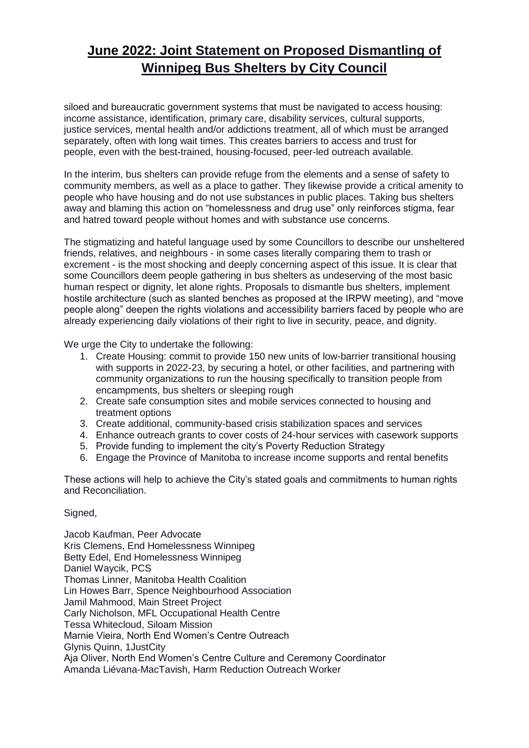## **June 2022: Joint Statement on Proposed Dismantling of Winnipeg Bus Shelters by City Council**

siloed and bureaucratic government systems that must be navigated to access housing: income assistance, identification, primary care, disability services, cultural supports, justice services, mental health and/or addictions treatment, all of which must be arranged separately, often with long wait times. This creates barriers to access and trust for people, even with the best-trained, housing-focused, peer-led outreach available.

In the interim, bus shelters can provide refuge from the elements and a sense of safety to community members, as well as a place to gather. They likewise provide a critical amenity to people who have housing and do not use substances in public places. Taking bus shelters away and blaming this action on "homelessness and drug use" only reinforces stigma, fear and hatred toward people without homes and with substance use concerns.

The stigmatizing and hateful language used by some Councillors to describe our unsheltered friends, relatives, and neighbours - in some cases literally comparing them to trash or excrement - is the most shocking and deeply concerning aspect of this issue. It is clear that some Councillors deem people gathering in bus shelters as undeserving of the most basic human respect or dignity, let alone rights. Proposals to dismantle bus shelters, implement hostile architecture (such as slanted benches as proposed at the IRPW meeting), and "move people along" deepen the rights violations and accessibility barriers faced by people who are already experiencing daily violations of their right to live in security, peace, and dignity.

We urge the City to undertake the following:

- 1. Create Housing: commit to provide 150 new units of low-barrier transitional housing with supports in 2022-23, by securing a hotel, or other facilities, and partnering with community organizations to run the housing specifically to transition people from encampments, bus shelters or sleeping rough
- 2. Create safe consumption sites and mobile services connected to housing and treatment options
- 3. Create additional, community-based crisis stabilization spaces and services
- 4. Enhance outreach grants to cover costs of 24-hour services with casework supports
- 5. Provide funding to implement the city's Poverty Reduction Strategy
- 6. Engage the Province of Manitoba to increase income supports and rental benefits

These actions will help to achieve the City's stated goals and commitments to human rights and Reconciliation.

## Signed,

Jacob Kaufman, Peer Advocate Kris Clemens, End Homelessness Winnipeg Betty Edel, End Homelessness Winnipeg Daniel Waycik, PCS Thomas Linner, Manitoba Health Coalition Lin Howes Barr, Spence Neighbourhood Association Jamil Mahmood, Main Street Project Carly Nicholson, MFL Occupational Health Centre Tessa Whitecloud, Siloam Mission Marnie Vieira, North End Women's Centre Outreach Glynis Quinn, 1JustCity Aja Oliver, North End Women's Centre Culture and Ceremony Coordinator Amanda Liévana-MacTavish, Harm Reduction Outreach Worker